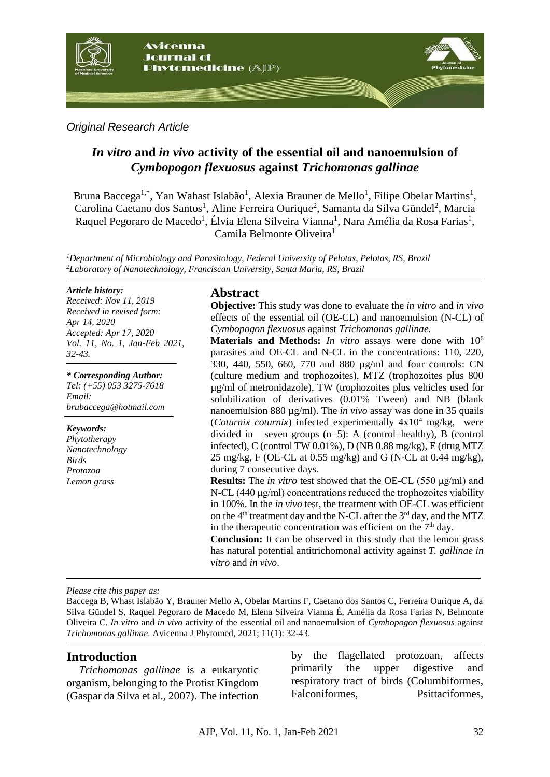

*Original Research Article*

# *In vitro* **and** *in vivo* **activity of the essential oil and nanoemulsion of**  *Cymbopogon flexuosus* **against** *Trichomonas gallinae*

Bruna Baccega<sup>1,\*</sup>, Yan Wahast Islabão<sup>1</sup>, Alexia Brauner de Mello<sup>1</sup>, Filipe Obelar Martins<sup>1</sup>, Carolina Caetano dos Santos<sup>1</sup>, Aline Ferreira Ourique<sup>2</sup>, Samanta da Silva Gündel<sup>2</sup>, Marcia Raquel Pegoraro de Macedo<sup>1</sup>, Élvia Elena Silveira Vianna<sup>1</sup>, Nara Amélia da Rosa Farias<sup>1</sup>, Camila Belmonte Oliveira<sup>1</sup>

*<sup>1</sup>Department of Microbiology and Parasitology, Federal University of Pelotas, Pelotas, RS, Brazil <sup>2</sup>Laboratory of Nanotechnology, Franciscan University, Santa Maria, RS, Brazil*

#### *Article history:*

*Received: Nov 11, 2019 Received in revised form: Apr 14, 2020 Accepted: Apr 17, 2020 Vol. 11, No. 1, Jan-Feb 2021, 32-43.*

*\* Corresponding Author: Tel: (+55) 053 3275-7618 Email: brubaccega@hotmail.com*

*Keywords: Phytotherapy Nanotechnology Birds Protozoa Lemon grass*

### **Abstract**

**Objective:** This study was done to evaluate the *in vitro* and *in vivo* effects of the essential oil (OE-CL) and nanoemulsion (N-CL) of *Cymbopogon flexuosus* against *Trichomonas gallinae.*

**Materials and Methods:** *In vitro* assays were done with 10<sup>6</sup> parasites and OE-CL and N-CL in the concentrations: 110, 220, 330, 440, 550, 660, 770 and 880 µg/ml and four controls: CN (culture medium and trophozoites), MTZ (trophozoites plus 800 µg/ml of metronidazole), TW (trophozoites plus vehicles used for solubilization of derivatives (0.01% Tween) and NB (blank nanoemulsion 880 µg/ml). The *in vivo* assay was done in 35 quails  $(Coturnix \coturnix)$  infected experimentally  $4x10^4$  mg/kg, were divided in seven groups  $(n=5)$ : A (control–healthy), B (control infected), C (control TW 0.01%), D (NB 0.88 mg/kg), E (drug MTZ 25 mg/kg, F (OE-CL at 0.55 mg/kg) and G (N-CL at 0.44 mg/kg), during 7 consecutive days.

**Results:** The *in vitro* test showed that the OE-CL (550 μg/ml) and N-CL (440 μg/ml) concentrations reduced the trophozoites viability in 100%. In the *in vivo* test, the treatment with OE-CL was efficient on the  $4<sup>th</sup>$  treatment day and the N-CL after the  $3<sup>rd</sup>$  day, and the MTZ in the therapeutic concentration was efficient on the  $7<sup>th</sup>$  day.

**Conclusion:** It can be observed in this study that the lemon grass has natural potential antitrichomonal activity against *T. gallinae in vitro* and *in vivo*.

*Please cite this paper as:* 

Baccega B, Whast Islabão Y, Brauner Mello A, Obelar Martins F, Caetano dos Santos C, Ferreira Ourique A, da Silva Gündel S, Raquel Pegoraro de Macedo M, Elena Silveira Vianna É, Amélia da Rosa Farias N, Belmonte Oliveira C. *In vitro* and *in vivo* activity of the essential oil and nanoemulsion of *Cymbopogon flexuosus* against *Trichomonas gallinae*. Avicenna J Phytomed, 2021; 11(1): 32-43.

# **Introduction**

*Trichomonas gallinae* is a eukaryotic organism, belonging to the Protist Kingdom (Gaspar da Silva et al., 2007). The infection

by the flagellated protozoan, affects primarily the upper digestive and respiratory tract of birds (Columbiformes, Falconiformes, Psittaciformes,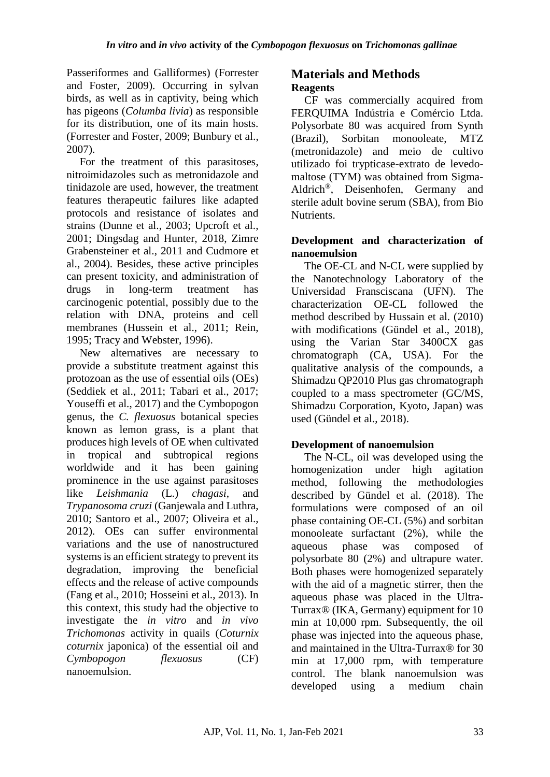Passeriformes and Galliformes) (Forrester and Foster, 2009). Occurring in sylvan birds, as well as in captivity, being which has pigeons (*Columba livia*) as responsible for its distribution, one of its main hosts. (Forrester and Foster, 2009; Bunbury et al., 2007).

For the treatment of this parasitoses, nitroimidazoles such as metronidazole and tinidazole are used, however, the treatment features therapeutic failures like adapted protocols and resistance of isolates and strains (Dunne et al., 2003; Upcroft et al., 2001; Dingsdag and Hunter, 2018, Zimre Grabensteiner et al., 2011 and Cudmore et al., 2004). Besides, these active principles can present toxicity, and administration of drugs in long-term treatment has carcinogenic potential, possibly due to the relation with DNA, proteins and cell membranes (Hussein et al., 2011; Rein, 1995; Tracy and Webster, 1996).

New alternatives are necessary to provide a substitute treatment against this protozoan as the use of essential oils (OEs) (Seddiek et al., 2011; Tabari et al., 2017; Youseffi et al., 2017) and the Cymbopogon genus, the *C. flexuosus* botanical species known as lemon grass, is a plant that produces high levels of OE when cultivated in tropical and subtropical regions worldwide and it has been gaining prominence in the use against parasitoses like *Leishmania* (L.) *chagasi*, and *Trypanosoma cruzi* (Ganjewala and Luthra, 2010; Santoro et al., 2007; Oliveira et al., 2012). OEs can suffer environmental variations and the use of nanostructured systems is an efficient strategy to prevent its degradation, improving the beneficial effects and the release of active compounds (Fang et al., 2010; Hosseini et al., 2013). In this context, this study had the objective to investigate the *in vitro* and *in vivo Trichomonas* activity in quails (*Coturnix coturnix* japonica) of the essential oil and *Cymbopogon flexuosus* (CF) nanoemulsion.

# **Materials and Methods Reagents**

CF was commercially acquired from FERQUIMA Indústria e Comércio Ltda. Polysorbate 80 was acquired from Synth (Brazil), Sorbitan monooleate, MTZ (metronidazole) and meio de cultivo utilizado foi trypticase-extrato de levedomaltose (TYM) was obtained from Sigma-Aldrich®, Deisenhofen, Germany and sterile adult bovine serum (SBA), from Bio Nutrients.

# **Development and characterization of nanoemulsion**

The OE-CL and N-CL were supplied by the Nanotechnology Laboratory of the Universidad Fransciscana (UFN). The characterization OE-CL followed the method described by Hussain et al. (2010) with modifications (Gündel et al., 2018), using the Varian Star 3400CX gas chromatograph (CA, USA). For the qualitative analysis of the compounds, a Shimadzu QP2010 Plus gas chromatograph coupled to a mass spectrometer (GC/MS, Shimadzu Corporation, Kyoto, Japan) was used (Gündel et al., 2018).

# **Development of nanoemulsion**

The N-CL, oil was developed using the homogenization under high agitation method, following the methodologies described by Gündel et al. (2018). The formulations were composed of an oil phase containing OE-CL (5%) and sorbitan monooleate surfactant (2%), while the aqueous phase was composed of polysorbate 80 (2%) and ultrapure water. Both phases were homogenized separately with the aid of a magnetic stirrer, then the aqueous phase was placed in the Ultra-Turrax® (IKA, Germany) equipment for 10 min at 10,000 rpm. Subsequently, the oil phase was injected into the aqueous phase, and maintained in the Ultra-Turrax® for 30 min at 17,000 rpm, with temperature control. The blank nanoemulsion was developed using a medium chain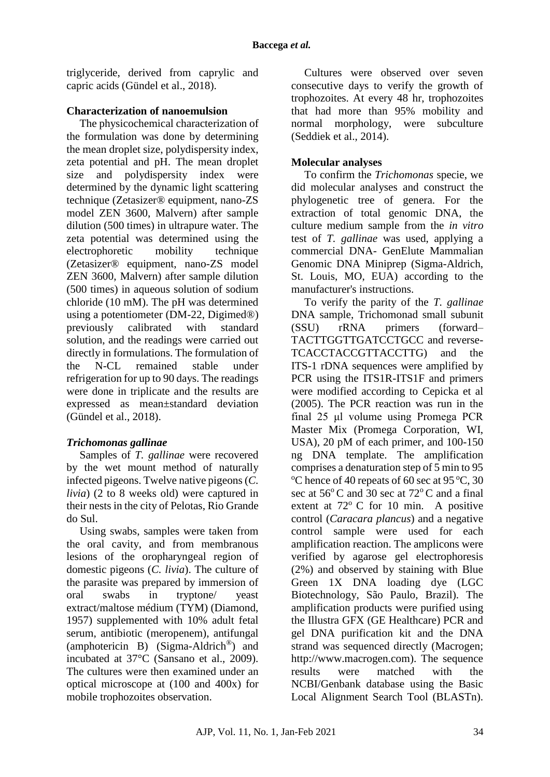triglyceride, derived from caprylic and capric acids (Gündel et al., 2018).

# **Characterization of nanoemulsion**

The physicochemical characterization of the formulation was done by determining the mean droplet size, polydispersity index, zeta potential and pH. The mean droplet size and polydispersity index were determined by the dynamic light scattering technique (Zetasizer® equipment, nano-ZS model ZEN 3600, Malvern) after sample dilution (500 times) in ultrapure water. The zeta potential was determined using the electrophoretic mobility technique (Zetasizer® equipment, nano-ZS model ZEN 3600, Malvern) after sample dilution (500 times) in aqueous solution of sodium chloride (10 mM). The pH was determined using a potentiometer (DM-22, Digimed®) previously calibrated with standard solution, and the readings were carried out directly in formulations. The formulation of the N-CL remained stable under refrigeration for up to 90 days. The readings were done in triplicate and the results are expressed as mean±standard deviation (Gündel et al., 2018).

# *Trichomonas gallinae*

Samples of *T. gallinae* were recovered by the wet mount method of naturally infected pigeons. Twelve native pigeons (*C. livia*) (2 to 8 weeks old) were captured in their nests in the city of Pelotas, Rio Grande do Sul.

Using swabs, samples were taken from the oral cavity, and from membranous lesions of the oropharyngeal region of domestic pigeons (*C. livia*). The culture of the parasite was prepared by immersion of oral swabs in tryptone/ yeast extract/maltose médium (TYM) (Diamond, 1957) supplemented with 10% adult fetal serum, antibiotic (meropenem), antifungal (amphotericin B) (Sigma-Aldrich®) and incubated at 37°C (Sansano et al., 2009). The cultures were then examined under an optical microscope at (100 and 400x) for mobile trophozoites observation.

Cultures were observed over seven consecutive days to verify the growth of trophozoites. At every 48 hr, trophozoites that had more than 95% mobility and normal morphology, were subculture (Seddiek et al., 2014).

# **Molecular analyses**

To confirm the *Trichomonas* specie, we did molecular analyses and construct the phylogenetic tree of genera. For the extraction of total genomic DNA, the culture medium sample from the *in vitro* test of *T. gallinae* was used, applying a commercial DNA- GenElute Mammalian Genomic DNA Miniprep (Sigma-Aldrich, St. Louis, MO, EUA) according to the manufacturer's instructions.

To verify the parity of the *T. gallinae* DNA sample, Trichomonad small subunit (SSU) rRNA primers (forward– TACTTGGTTGATCCTGCC and reverse-TCACCTACCGTTACCTTG) and the ITS-1 rDNA sequences were amplified by PCR using the ITS1R-ITS1F and primers were modified according to Cepicka et al (2005). The PCR reaction was run in the final 25 μl volume using Promega PCR Master Mix (Promega Corporation, WI, USA), 20 pM of each primer, and 100-150 ng DNA template. The amplification comprises a denaturation step of 5 min to 95 <sup>o</sup>C hence of 40 repeats of 60 sec at 95 <sup>o</sup>C, 30 sec at  $56^{\circ}$ C and 30 sec at  $72^{\circ}$ C and a final extent at  $72^{\circ}$  C for 10 min. A positive control (*Caracara plancus*) and a negative control sample were used for each amplification reaction. The amplicons were verified by agarose gel electrophoresis (2%) and observed by staining with Blue Green 1X DNA loading dye (LGC Biotechnology, São Paulo, Brazil). The amplification products were purified using the Illustra GFX (GE Healthcare) PCR and gel DNA purification kit and the DNA strand was sequenced directly (Macrogen; http://www.macrogen.com). The sequence results were matched with the NCBI/Genbank database using the Basic Local Alignment Search Tool (BLASTn).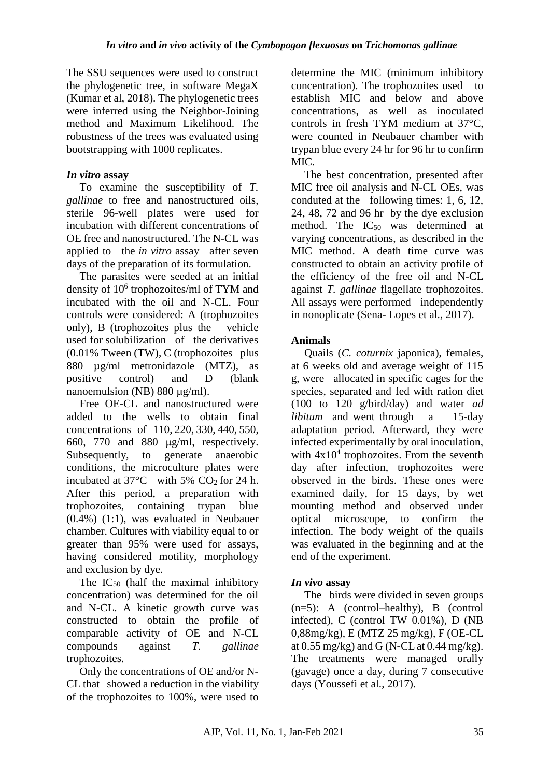The SSU sequences were used to construct the phylogenetic tree, in software MegaX (Kumar et al, 2018). The phylogenetic trees were inferred using the Neighbor-Joining method and Maximum Likelihood. The robustness of the trees was evaluated using bootstrapping with 1000 replicates.

### *In vitro* **assay**

To examine the susceptibility of *T. gallinae* to free and nanostructured oils, sterile 96-well plates were used for incubation with different concentrations of OE free and nanostructured. The N-CL was applied to the *in vitro* assay after seven days of the preparation of its formulation.

The parasites were seeded at an initial density of 10<sup>6</sup> trophozoites/ml of TYM and incubated with the oil and N-CL. Four controls were considered: A (trophozoites only), B (trophozoites plus the vehicle used for solubilization of the derivatives (0.01% Tween (TW), C (trophozoites plus 880 µg/ml metronidazole (MTZ), as positive control) and D (blank nanoemulsion (NB) 880 µg/ml).

Free OE-CL and nanostructured were added to the wells to obtain final concentrations of 110, 220, 330, 440, 550, 660, 770 and 880 μg/ml, respectively. Subsequently, to generate anaerobic conditions, the microculture plates were incubated at  $37^{\circ}$ C with 5% CO<sub>2</sub> for 24 h. After this period, a preparation with trophozoites, containing trypan blue (0.4%) (1:1), was evaluated in Neubauer chamber. Cultures with viability equal to or greater than 95% were used for assays, having considered motility, morphology and exclusion by dye.

The  $IC_{50}$  (half the maximal inhibitory concentration) was determined for the oil and N-CL. A kinetic growth curve was constructed to obtain the profile of comparable activity of OE and N-CL compounds against *T. gallinae* trophozoites.

Only the concentrations of OE and/or N-CL that showed a reduction in the viability of the trophozoites to 100%, were used to determine the MIC (minimum inhibitory concentration). The trophozoites used to establish MIC and below and above concentrations, as well as inoculated controls in fresh TYM medium at 37°C, were counted in Neubauer chamber with trypan blue every 24 hr for 96 hr to confirm MIC<sup>.</sup>

The best concentration, presented after MIC free oil analysis and N-CL OEs, was conduted at the following times: 1, 6, 12, 24, 48, 72 and 96 hr by the dye exclusion method. The  $IC_{50}$  was determined at varying concentrations, as described in the MIC method. A death time curve was constructed to obtain an activity profile of the efficiency of the free oil and N-CL against *T. gallinae* flagellate trophozoites. All assays were performed independently in nonoplicate (Sena- Lopes et al., 2017).

# **Animals**

Quails (*C. coturnix* japonica), females, at 6 weeks old and average weight of 115 g, were allocated in specific cages for the species, separated and fed with ration diet (100 to 120 g/bird/day) and water *ad libitum* and went through a 15-day adaptation period. Afterward, they were infected experimentally by oral inoculation, with  $4x10^4$  trophozoites. From the seventh day after infection, trophozoites were observed in the birds. These ones were examined daily, for 15 days, by wet mounting method and observed under optical microscope, to confirm the infection. The body weight of the quails was evaluated in the beginning and at the end of the experiment.

# *In vivo* **assay**

The birds were divided in seven groups (n=5): A (control–healthy), B (control infected), C (control TW 0.01%), D (NB 0,88mg/kg), E (MTZ 25 mg/kg), F (OE-CL at  $0.55$  mg/kg) and G (N-CL at  $0.44$  mg/kg). The treatments were managed orally (gavage) once a day, during 7 consecutive days (Youssefi et al., 2017).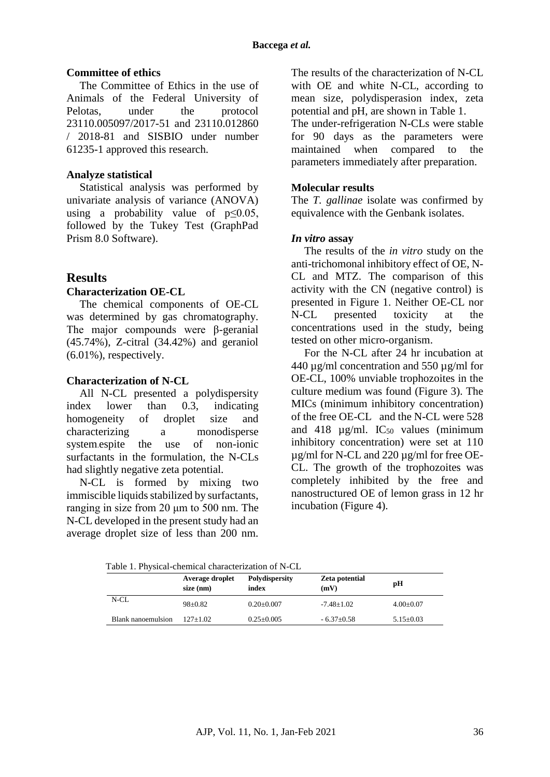#### **Committee of ethics**

The Committee of Ethics in the use of Animals of the Federal University of Pelotas, under the protocol 23110.005097/2017-51 and 23110.012860 / 2018-81 and SISBIO under number 61235-1 approved this research.

### **Analyze statistical**

Statistical analysis was performed by univariate analysis of variance (ANOVA) using a probability value of  $p \leq 0.05$ , followed by the Tukey Test (GraphPad Prism 8.0 Software).

### **Results**

### **Characterization OE-CL**

The chemical components of OE-CL was determined by gas chromatography. The major compounds were β-geranial (45.74%), Z-citral (34.42%) and geraniol (6.01%), respectively.

### **Characterization of N-CL**

All N-CL presented a polydispersity index lower than 0.3, indicating homogeneity of droplet size and characterizing a monodisperse system.espite the use of non-ionic surfactants in the formulation, the N-CLs had slightly negative zeta potential.

N-CL is formed by mixing two immiscible liquids stabilized by surfactants, ranging in size from 20 μm to 500 nm. The N-CL developed in the present study had an average droplet size of less than 200 nm.

The results of the characterization of N-CL with OE and white N-CL, according to mean size, polydisperasion index, zeta potential and pH, are shown in Table 1.

The under-refrigeration N-CLs were stable for 90 days as the parameters were maintained when compared to the parameters immediately after preparation.

### **Molecular results**

The *T. gallinae* isolate was confirmed by equivalence with the Genbank isolates.

### *In vitro* **assay**

The results of the *in vitro* study on the anti-trichomonal inhibitory effect of OE, N-CL and MTZ. The comparison of this activity with the CN (negative control) is presented in Figure 1. Neither OE-CL nor N-CL presented toxicity at the concentrations used in the study, being tested on other micro-organism.

For the N-CL after 24 hr incubation at 440 µg/ml concentration and 550 µg/ml for OE-CL, 100% unviable trophozoites in the culture medium was found (Figure 3). The MICs (minimum inhibitory concentration) of the free OE-CL and the N-CL were 528 and 418  $\mu$ g/ml. IC<sub>50</sub> values (minimum inhibitory concentration) were set at 110 µg/ml for N-CL and 220 µg/ml for free OE-CL. The growth of the trophozoites was completely inhibited by the free and nanostructured OE of lemon grass in 12 hr incubation (Figure 4).

Table 1. Physical-chemical characterization of N-CL

|                    | Average droplet<br>$size$ (nm) | <b>Polydispersity</b><br>index | <b>Zeta potential</b><br>(mV) | рH              |
|--------------------|--------------------------------|--------------------------------|-------------------------------|-----------------|
| N-CL               | $98+0.82$                      | $0.20 \pm 0.007$               | $-7.48 \pm 1.02$              | $4.00 \pm 0.07$ |
| Blank nanoemulsion | $127+1.02$                     | $0.25 \pm 0.005$               | $-6.37+0.58$                  | $5.15 \pm 0.03$ |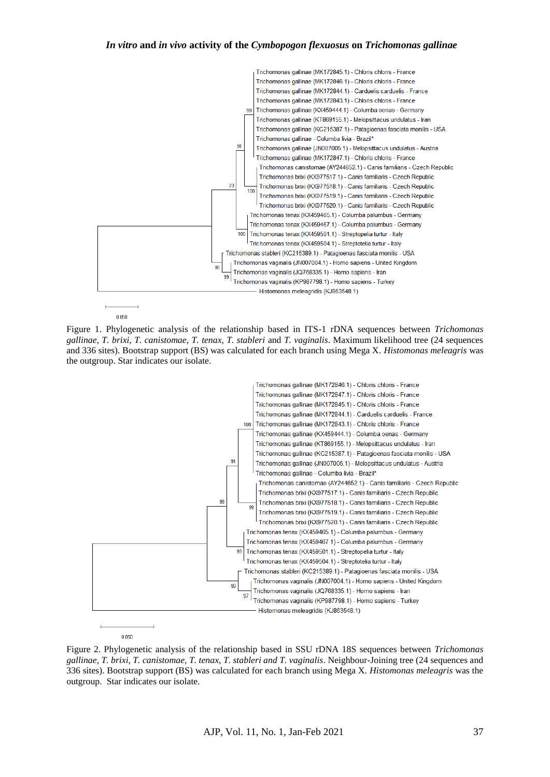#### *In vitro* **and** *in vivo* **activity of the** *Cymbopogon flexuosus* **on** *Trichomonas gallinae*



Figure 1. Phylogenetic analysis of the relationship based in ITS-1 rDNA sequences between *Trichomonas gallinae, T. brixi, T. canistomae, T. tenax, T. stableri* and *T. vaginalis*. Maximum likelihood tree (24 sequences and 336 sites). Bootstrap support (BS) was calculated for each branch using Mega X. *Histomonas meleagris* was the outgroup. Star indicates our isolate.



Figure 2. Phylogenetic analysis of the relationship based in SSU rDNA 18S sequences between *Trichomonas gallinae, T. brixi, T. canistomae, T. tenax, T. stableri and T. vaginalis*. Neighbour-Joining tree (24 sequences and 336 sites). Bootstrap support (BS) was calculated for each branch using Mega X. *Histomonas meleagris* was the outgroup. Star indicates our isolate.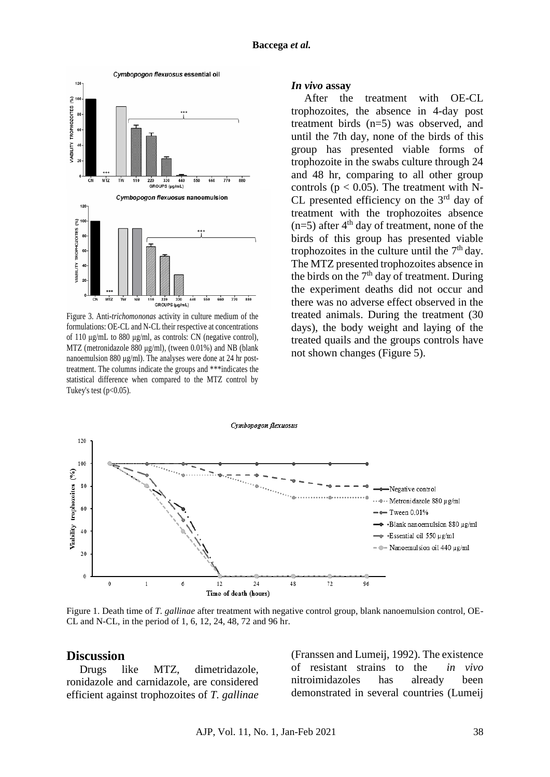

Figure 3. Anti-*trichomononas* activity in culture medium of the formulations: OE-CL and N-CL their respective at concentrations of 110 μg/mL to 880 μg/ml, as controls: CN (negative control), MTZ (metronidazole 880 μg/ml), (tween 0.01%) and NB (blank nanoemulsion 880 μg/ml). The analyses were done at 24 hr posttreatment. The columns indicate the groups and \*\*\*indicates the statistical difference when compared to the MTZ control by Tukey's test  $(p<0.05)$ .

#### *In vivo* **assay**

After the treatment with OE-CL trophozoites, the absence in 4-day post treatment birds (n=5) was observed, and until the 7th day, none of the birds of this group has presented viable forms of trophozoite in the swabs culture through 24 and 48 hr, comparing to all other group controls ( $p < 0.05$ ). The treatment with N-CL presented efficiency on the  $3<sup>rd</sup>$  day of treatment with the trophozoites absence  $(n=5)$  after 4<sup>th</sup> day of treatment, none of the birds of this group has presented viable trophozoites in the culture until the  $7<sup>th</sup>$  day. The MTZ presented trophozoites absence in the birds on the  $7<sup>th</sup>$  day of treatment. During the experiment deaths did not occur and there was no adverse effect observed in the treated animals. During the treatment (30 days), the body weight and laying of the treated quails and the groups controls have not shown changes (Figure 5).



Figure 1. Death time of *T. gallinae* after treatment with negative control group, blank nanoemulsion control, OE-CL and N-CL, in the period of 1, 6, 12, 24, 48, 72 and 96 hr.

#### **Discussion**

Drugs like MTZ, dimetridazole, ronidazole and carnidazole, are considered efficient against trophozoites of *T. gallinae* (Franssen and Lumeij, 1992). The existence of resistant strains to the *in vivo* nitroimidazoles has already been demonstrated in several countries (Lumeij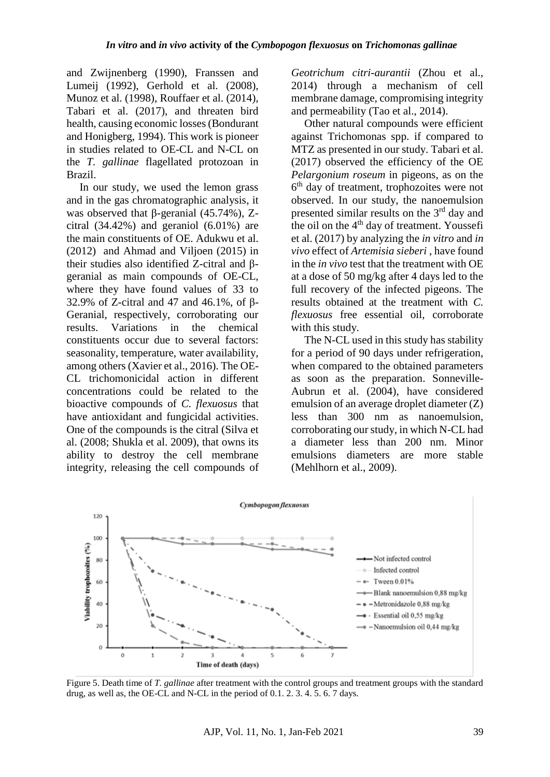and Zwijnenberg (1990), Franssen and Lumeij (1992), Gerhold et al. (2008), Munoz et al. (1998), Rouffaer et al. (2014), Tabari et al. (2017), and threaten bird health, causing economic losses (Bondurant and Honigberg, 1994). This work is pioneer in studies related to OE-CL and N-CL on the *T. gallinae* flagellated protozoan in Brazil.

In our study, we used the lemon grass and in the gas chromatographic analysis, it was observed that β-geranial (45.74%), Zcitral (34.42%) and geraniol (6.01%) are the main constituents of OE. Adukwu et al. (2012) and Ahmad and Viljoen (2015) in their studies also identified Z-citral and βgeranial as main compounds of OE-CL, where they have found values of 33 to 32.9% of Z-citral and 47 and 46.1%, of β-Geranial, respectively, corroborating our results. Variations in the chemical constituents occur due to several factors: seasonality, temperature, water availability, among others (Xavier et al., 2016). The OE-CL trichomonicidal action in different concentrations could be related to the bioactive compounds of *C. flexuosus* that have antioxidant and fungicidal activities. One of the compounds is the citral (Silva et al. (2008; Shukla et al. 2009), that owns its ability to destroy the cell membrane integrity, releasing the cell compounds of *Geotrichum citri-aurantii* (Zhou et al., 2014) through a mechanism of cell membrane damage, compromising integrity and permeability (Tao et al., 2014).

Other natural compounds were efficient against Trichomonas spp. if compared to MTZ as presented in our study. Tabari et al. (2017) observed the efficiency of the OE *Pelargonium roseum* in pigeons, as on the 6 th day of treatment, trophozoites were not observed. In our study, the nanoemulsion presented similar results on the  $3<sup>rd</sup>$  day and the oil on the 4<sup>th</sup> day of treatment. Youssefi et al. (2017) by analyzing the *in vitro* and *in vivo* effect of *Artemisia sieberi* , have found in the *in vivo* test that the treatment with OE at a dose of 50 mg/kg after 4 days led to the full recovery of the infected pigeons. The results obtained at the treatment with *C. flexuosus* free essential oil, corroborate with this study.

The N-CL used in this study has stability for a period of 90 days under refrigeration, when compared to the obtained parameters as soon as the preparation. Sonneville-Aubrun et al. (2004), have considered emulsion of an average droplet diameter (Z) less than 300 nm as nanoemulsion, corroborating our study, in which N-CL had a diameter less than 200 nm. Minor emulsions diameters are more stable (Mehlhorn et al., 2009).



Figure 5. Death time of *T. gallinae* after treatment with the control groups and treatment groups with the standard drug, as well as, the OE-CL and N-CL in the period of 0.1. 2. 3. 4. 5. 6. 7 days.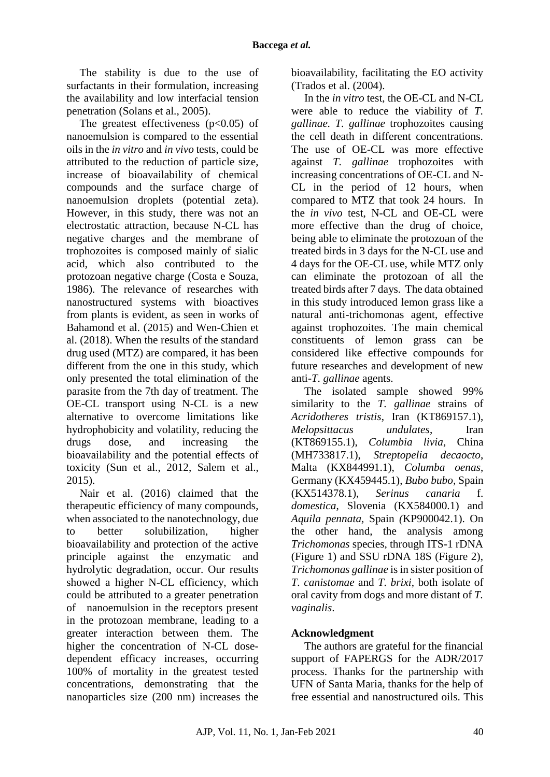The stability is due to the use of surfactants in their formulation, increasing the availability and low interfacial tension penetration (Solans et al., 2005).

The greatest effectiveness  $(p<0.05)$  of nanoemulsion is compared to the essential oils in the *in vitro* and *in vivo* tests, could be attributed to the reduction of particle size, increase of bioavailability of chemical compounds and the surface charge of nanoemulsion droplets (potential zeta). However, in this study, there was not an electrostatic attraction, because N-CL has negative charges and the membrane of trophozoites is composed mainly of sialic acid, which also contributed to the protozoan negative charge (Costa e Souza, 1986). The relevance of researches with nanostructured systems with bioactives from plants is evident, as seen in works of Bahamond et al. (2015) and Wen-Chien et al. (2018). When the results of the standard drug used (MTZ) are compared, it has been different from the one in this study, which only presented the total elimination of the parasite from the 7th day of treatment. The OE-CL transport using N-CL is a new alternative to overcome limitations like hydrophobicity and volatility, reducing the drugs dose, and increasing the bioavailability and the potential effects of toxicity (Sun et al., 2012, Salem et al., 2015).

Nair et al. (2016) claimed that the therapeutic efficiency of many compounds, when associated to the nanotechnology, due to better solubilization, higher bioavailability and protection of the active principle against the enzymatic and hydrolytic degradation, occur. Our results showed a higher N-CL efficiency, which could be attributed to a greater penetration of nanoemulsion in the receptors present in the protozoan membrane, leading to a greater interaction between them. The higher the concentration of N-CL dosedependent efficacy increases, occurring 100% of mortality in the greatest tested concentrations, demonstrating that the nanoparticles size (200 nm) increases the

bioavailability, facilitating the EO activity (Trados et al. (2004).

In the *in vitro* test, the OE-CL and N-CL were able to reduce the viability of *T. gallinae. T. gallinae* trophozoites causing the cell death in different concentrations. The use of OE-CL was more effective against *T. gallinae* trophozoites with increasing concentrations of OE-CL and N-CL in the period of 12 hours, when compared to MTZ that took 24 hours. In the *in vivo* test, N-CL and OE-CL were more effective than the drug of choice, being able to eliminate the protozoan of the treated birds in 3 days for the N-CL use and 4 days for the OE-CL use, while MTZ only can eliminate the protozoan of all the treated birds after 7 days. The data obtained in this study introduced lemon grass like a natural anti-trichomonas agent, effective against trophozoites. The main chemical constituents of lemon grass can be considered like effective compounds for future researches and development of new anti-*T. gallinae* agents.

The isolated sample showed 99% similarity to the *T. gallinae* strains of *Acridotheres tristis*, Iran (KT869157.1), *Melopsittacus undulates*, Iran (KT869155.1), *Columbia livia*, China (MH733817.1), *Streptopelia decaocto*, Malta (KX844991.1), *Columba oenas*, Germany (KX459445.1), *Bubo bubo,* Spain (KX514378.1), *Serinus canaria* f. *domestica*, Slovenia (KX584000.1) and *Aquila pennata,* Spain *(*KP900042.1). On the other hand, the analysis among *Trichomonas* species, through ITS-1 rDNA (Figure 1) and SSU rDNA 18S (Figure 2), *Trichomonas gallinae* is in sister position of *T. canistomae* and *T. brixi*, both isolate of oral cavity from dogs and more distant of *T. vaginalis*.

# **Acknowledgment**

The authors are grateful for the financial support of FAPERGS for the ADR/2017 process. Thanks for the partnership with UFN of Santa Maria, thanks for the help of free essential and nanostructured oils. This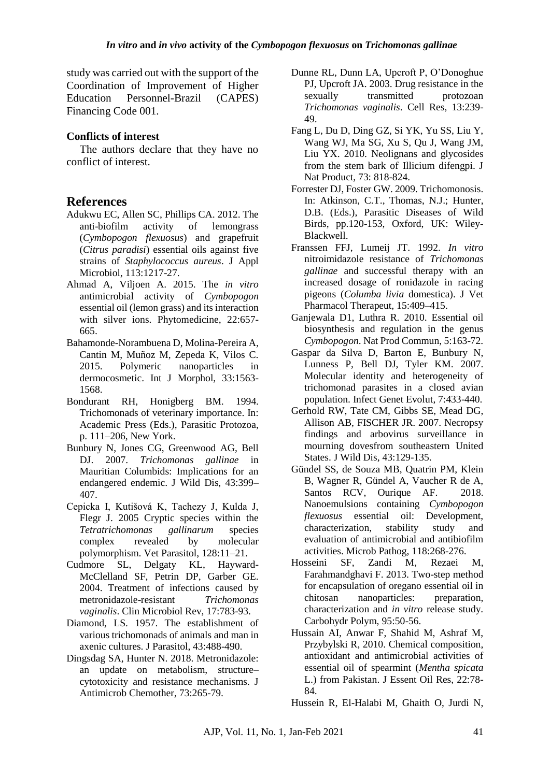study was carried out with the support of the Coordination of Improvement of Higher Education Personnel-Brazil (CAPES) Financing Code 001.

### **Conflicts of interest**

The authors declare that they have no conflict of interest.

# **References**

- Adukwu EC, Allen SC, Phillips CA. 2012. The anti-biofilm activity of lemongrass (*Cymbopogon flexuosus*) and grapefruit (*Citrus paradisi*) essential oils against five strains of *Staphylococcus aureus*. J Appl Microbiol, 113:1217-27.
- Ahmad A, Viljoen A. 2015. The *in vitro* antimicrobial activity of *Cymbopogon*  essential oil (lemon grass) and its interaction with silver ions. Phytomedicine, 22:657- 665.
- Bahamonde-Norambuena D, Molina-Pereira A, Cantin M, Muñoz M, Zepeda K, Vilos C. 2015. Polymeric nanoparticles in dermocosmetic. Int J Morphol, 33:1563- 1568.
- Bondurant RH, Honigberg BM. 1994. Trichomonads of veterinary importance. In: Academic Press (Eds.), Parasitic Protozoa, p. 111–206, New York.
- Bunbury N, Jones CG, Greenwood AG, Bell DJ. 2007. *Trichomonas gallinae* in Mauritian Columbids: Implications for an endangered endemic. J Wild Dis, 43:399– 407.
- Cepicka I, Kutišová K, Tachezy J, Kulda J, Flegr J. 2005 Cryptic species within the *Tetratrichomonas gallinarum* species complex revealed by molecular polymorphism. Vet Parasitol, 128:11–21.
- Cudmore SL, Delgaty KL, Hayward-McClelland SF, Petrin DP, Garber GE. 2004. Treatment of infections caused by metronidazole-resistant *Trichomonas vaginalis*. Clin Microbiol Rev, 17:783-93.
- Diamond, LS. 1957. The establishment of various trichomonads of animals and man in axenic cultures. J Parasitol, 43:488-490.
- Dingsdag SA, Hunter N. 2018. Metronidazole: an update on metabolism, structure– cytotoxicity and resistance mechanisms. J Antimicrob Chemother, 73:265-79.
- Dunne RL, Dunn LA, Upcroft P, O'Donoghue PJ, Upcroft JA. 2003. Drug resistance in the sexually transmitted protozoan *Trichomonas vaginalis*. Cell Res, 13:239- 49.
- Fang L, Du D, Ding GZ, Si YK, Yu SS, Liu Y, Wang WJ, Ma SG, Xu S, Qu J, Wang JM, Liu YX. 2010. Neolignans and glycosides from the stem bark of Illicium difengpi. J Nat Product, 73: 818-824.
- Forrester DJ, Foster GW. 2009. Trichomonosis. In: Atkinson, C.T., Thomas, N.J.; Hunter, D.B. (Eds.), Parasitic Diseases of Wild Birds, pp.120-153, Oxford, UK: Wiley-Blackwell.
- Franssen FFJ, Lumeij JT. 1992. *In vitro* nitroimidazole resistance of *Trichomonas gallinae* and successful therapy with an increased dosage of ronidazole in racing pigeons (*Columba livia* domestica). J Vet Pharmacol Therapeut, 15:409–415.
- Ganjewala D1, Luthra R. 2010. Essential oil biosynthesis and regulation in the genus *Cymbopogon*. Nat Prod Commun, 5:163-72.
- Gaspar da Silva D, Barton E, Bunbury N, Lunness P, Bell DJ, Tyler KM. 2007. Molecular identity and heterogeneity of trichomonad parasites in a closed avian population. Infect Genet Evolut, 7:433-440.
- Gerhold RW, Tate CM, Gibbs SE, Mead DG, Allison AB, FISCHER JR. 2007. Necropsy findings and arbovirus surveillance in mourning dovesfrom southeastern United States. J Wild Dis, 43:129-135.
- Gündel SS, de Souza MB, Quatrin PM, Klein B, Wagner R, Gündel A, Vaucher R de A, Santos RCV, Ourique AF. 2018. Nanoemulsions containing *Cymbopogon flexuosus* essential oil: Development, characterization, stability study and evaluation of antimicrobial and antibiofilm activities. Microb Pathog, 118:268-276.
- Hosseini SF, Zandi M, Rezaei M, Farahmandghavi F. 2013. Two-step method for encapsulation of oregano essential oil in chitosan nanoparticles: preparation, characterization and *in vitro* release study. Carbohydr Polym, 95:50-56.
- Hussain AI, Anwar F, Shahid M, Ashraf M, Przybylski R, 2010. Chemical composition, antioxidant and antimicrobial activities of essential oil of spearmint (*Mentha spicata* L.) from Pakistan. J Essent Oil Res, 22:78- 84.

Hussein R, El-Halabi M, Ghaith O, Jurdi N,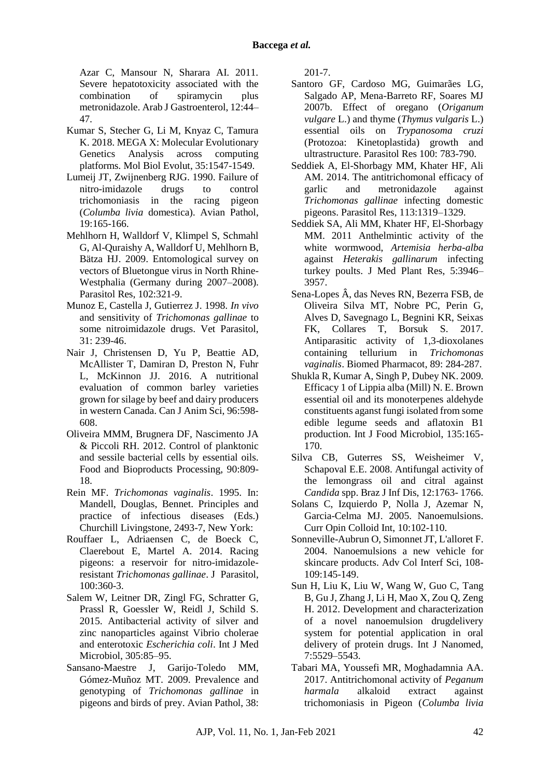Azar C, Mansour N, Sharara AI. 2011. Severe hepatotoxicity associated with the combination of spiramycin plus metronidazole. Arab J Gastroenterol, 12:44– 47.

- Kumar S, Stecher G, Li M, Knyaz C, Tamura K. 2018. MEGA X: Molecular Evolutionary Genetics Analysis across computing platforms. Mol Biol Evolut, 35:1547-1549.
- Lumeij JT, Zwijnenberg RJG. 1990. Failure of nitro-imidazole drugs to control trichomoniasis in the racing pigeon (*Columba livia* domestica). Avian Pathol, 19:165-166.
- Mehlhorn H, Walldorf V, Klimpel S, Schmahl G, Al-Quraishy A, Walldorf U, Mehlhorn B, Bätza HJ. 2009. Entomological survey on vectors of Bluetongue virus in North Rhine-Westphalia (Germany during 2007–2008). Parasitol Res, 102:321-9.
- Munoz E, Castella J, Gutierrez J. 1998. *In vivo* and sensitivity of *Trichomonas gallinae* to some nitroimidazole drugs. Vet Parasitol, 31: 239-46.
- Nair J, Christensen D, Yu P, Beattie AD, McAllister T, Damiran D, Preston N, Fuhr L, McKinnon JJ. 2016. A nutritional evaluation of common barley varieties grown for silage by beef and dairy producers in western Canada. Can J Anim Sci, 96:598- 608.
- Oliveira MMM, Brugnera DF, Nascimento JA & Piccoli RH. 2012. Control of planktonic and sessile bacterial cells by essential oils. Food and Bioproducts Processing, 90:809- 18.
- Rein MF. *Trichomonas vaginalis*. 1995. In: Mandell, Douglas, Bennet. Principles and practice of infectious diseases (Eds.) Churchill Livingstone, 2493-7, New York:
- Rouffaer L, Adriaensen C, de Boeck C, Claerebout E, Martel A. 2014. Racing pigeons: a reservoir for nitro-imidazoleresistant *Trichomonas gallinae*. J Parasitol, 100:360-3.
- Salem W, Leitner DR, Zingl FG, Schratter G, Prassl R, Goessler W, Reidl J, Schild S. 2015. Antibacterial activity of silver and zinc nanoparticles against Vibrio cholerae and enterotoxic *Escherichia coli*. Int J Med Microbiol, 305:85–95.
- Sansano-Maestre J, Garijo-Toledo MM, Gómez-Muñoz MT. 2009. Prevalence and genotyping of *Trichomonas gallinae* in pigeons and birds of prey. Avian Pathol, 38:

201-7.

- Santoro GF, Cardoso MG, Guimarães LG, Salgado AP, Mena-Barreto RF, Soares MJ 2007b. Effect of oregano (*Origanum vulgare* L.) and thyme (*Thymus vulgaris* L.) essential oils on *Trypanosoma cruzi* (Protozoa: Kinetoplastida) growth and ultrastructure. Parasitol Res 100: 783-790.
- Seddiek A, El-Shorbagy MM, Khater HF, Ali AM. 2014. The antitrichomonal efficacy of garlic and metronidazole against *Trichomonas gallinae* infecting domestic pigeons. Parasitol Res, 113:1319–1329.
- Seddiek SA, Ali MM, Khater HF, El-Shorbagy MM. 2011 Anthelmintic activity of the white wormwood, *Artemisia herba-alba* against *Heterakis gallinarum* infecting turkey poults. J Med Plant Res, 5:3946– 3957.
- Sena-Lopes Â, das Neves RN, Bezerra FSB, de Oliveira Silva MT, Nobre PC, Perin G, Alves D, Savegnago L, Begnini KR, Seixas FK, Collares T, Borsuk S. 2017. Antiparasitic activity of 1,3-dioxolanes containing tellurium in *Trichomonas vaginalis*. Biomed Pharmacot, 89: 284-287.
- Shukla R, Kumar A, Singh P, Dubey NK. 2009. Efficacy 1 of Lippia alba (Mill) N. E. Brown essential oil and its monoterpenes aldehyde constituents aganst fungi isolated from some edible legume seeds and aflatoxin B1 production. Int J Food Microbiol, 135:165- 170.
- Silva CB, Guterres SS, Weisheimer V, Schapoval E.E. 2008. Antifungal activity of the lemongrass oil and citral against *Candida* spp. Braz J Inf Dis, 12:1763- 1766.
- Solans C, Izquierdo P, Nolla J, Azemar N, Garcia-Celma MJ. 2005. Nanoemulsions. Curr Opin Colloid Int, 10:102-110.
- Sonneville-Aubrun O, Simonnet JT, L'alloret F. 2004. Nanoemulsions a new vehicle for skincare products. Adv Col Interf Sci, 108- 109:145-149.
- Sun H, Liu K, Liu W, Wang W, Guo C, Tang B, Gu J, Zhang J, Li H, Mao X, Zou Q, Zeng H. 2012. Development and characterization of a novel nanoemulsion drugdelivery system for potential application in oral delivery of protein drugs. Int J Nanomed, 7:5529–5543.
- Tabari MA, Youssefi MR, Moghadamnia AA. 2017. Antitrichomonal activity of *Peganum harmala* alkaloid extract against trichomoniasis in Pigeon (*Columba livia*